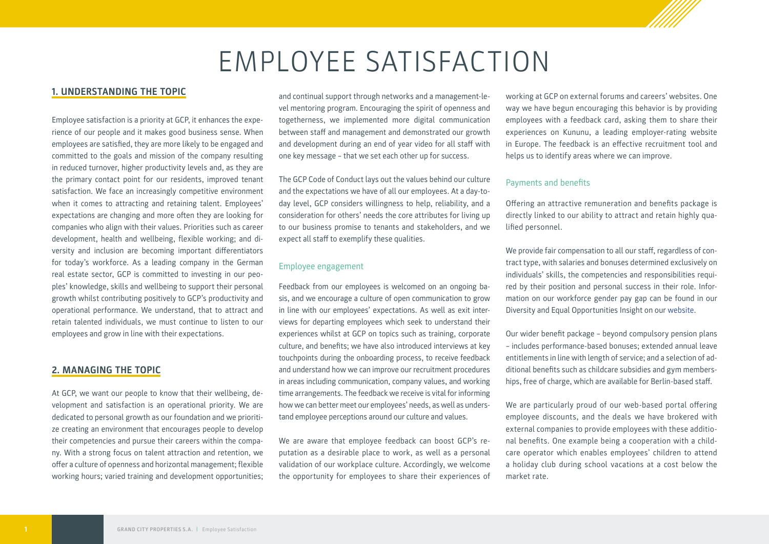# EMPLOYEE SATISFACTION

### **1. UNDERSTANDING THE TOPIC**

Employee satisfaction is a priority at GCP, it enhances the experience of our people and it makes good business sense. When employees are satisfied, they are more likely to be engaged and committed to the goals and mission of the company resulting in reduced turnover, higher productivity levels and, as they are the primary contact point for our residents, improved tenant satisfaction. We face an increasingly competitive environment when it comes to attracting and retaining talent. Employees' expectations are changing and more often they are looking for companies who align with their values. Priorities such as career development, health and wellbeing, flexible working; and diversity and inclusion are becoming important differentiators for today's workforce. As a leading company in the German real estate sector, GCP is committed to investing in our peoples' knowledge, skills and wellbeing to support their personal growth whilst contributing positively to GCP's productivity and operational performance. We understand, that to attract and retain talented individuals, we must continue to listen to our employees and grow in line with their expectations.

### **2. MANAGING THE TOPIC**

At GCP, we want our people to know that their wellbeing, development and satisfaction is an operational priority. We are dedicated to personal growth as our foundation and we prioritize creating an environment that encourages people to develop their competencies and pursue their careers within the company. With a strong focus on talent attraction and retention, we offer a culture of openness and horizontal management; flexible working hours; varied training and development opportunities;

and continual support through networks and a management-level mentoring program. Encouraging the spirit of openness and togetherness, we implemented more digital communication between staff and management and demonstrated our growth and development during an end of year video for all staff with one key message – that we set each other up for success.

The GCP Code of Conduct lays out the values behind our culture and the expectations we have of all our employees. At a day-today level, GCP considers willingness to help, reliability, and a consideration for others' needs the core attributes for living up to our business promise to tenants and stakeholders, and we expect all staff to exemplify these qualities.

### Employee engagement

Feedback from our employees is welcomed on an ongoing basis, and we encourage a culture of open communication to grow in line with our employees' expectations. As well as exit interviews for departing employees which seek to understand their experiences whilst at GCP on topics such as training, corporate culture, and benefits; we have also introduced interviews at key touchpoints during the onboarding process, to receive feedback and understand how we can improve our recruitment procedures in areas including communication, company values, and working time arrangements. The feedback we receive is vital for informing how we can better meet our employees' needs, as well as understand employee perceptions around our culture and values.

We are aware that employee feedback can boost GCP's reputation as a desirable place to work, as well as a personal validation of our workplace culture. Accordingly, we welcome the opportunity for employees to share their experiences of working at GCP on external forums and careers' websites. One way we have begun encouraging this behavior is by providing employees with a feedback card, asking them to share their experiences on Kununu, a leading employer-rating website in Europe. The feedback is an effective recruitment tool and helps us to identify areas where we can improve.

### Payments and benefits

Offering an attractive remuneration and benefits package is directly linked to our ability to attract and retain highly qualified personnel.

We provide fair compensation to all our staff, regardless of contract type, with salaries and bonuses determined exclusively on individuals' skills, the competencies and responsibilities required by their position and personal success in their role. Information on our workforce gender pay gap can be found in our Diversity and Equal Opportunities Insight on our [website.](https://www.grandcityproperties.com/sustainability/)

Our wider benefit package – beyond compulsory pension plans – includes performance-based bonuses; extended annual leave entitlements in line with length of service; and a selection of additional benefits such as childcare subsidies and gym memberships, free of charge, which are available for Berlin-based staff.

We are particularly proud of our web-based portal offering employee discounts, and the deals we have brokered with external companies to provide employees with these additional benefits. One example being a cooperation with a childcare operator which enables employees' children to attend a holiday club during school vacations at a cost below the market rate.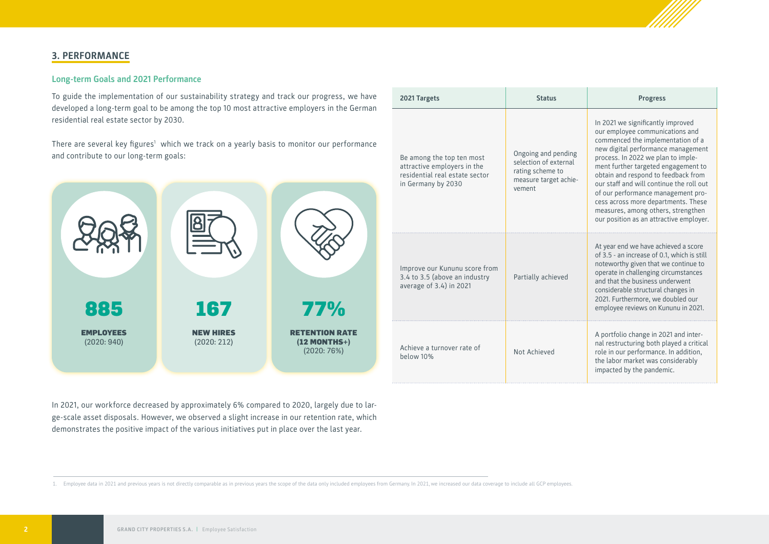

### **3. PERFORMANCE**

885

EMPLOYEES (2020: 940)

### **Long-term Goals and 2021 Performance**

To guide the implementation of our sustainability strategy and track our progress developed a long-term goal to be among the top 10 most attractive employers in the residential real estate sector by 2030.

There are several key figures' which we track on a yearly basis to monitor our performance and contribute to our long-term goals:

| our progress, we have                                   | 2021 Targets                                                                                                     | <b>Status</b>                                                                                       | <b>Progress</b>                                                                                                                                                                                                                                                                                                                                                                                                                                                               |
|---------------------------------------------------------|------------------------------------------------------------------------------------------------------------------|-----------------------------------------------------------------------------------------------------|-------------------------------------------------------------------------------------------------------------------------------------------------------------------------------------------------------------------------------------------------------------------------------------------------------------------------------------------------------------------------------------------------------------------------------------------------------------------------------|
| nployers in the German<br>onitor our performance<br>77% | Be among the top ten most<br>attractive employers in the<br>residential real estate sector<br>in Germany by 2030 | Ongoing and pending<br>selection of external<br>rating scheme to<br>measure target achie-<br>vement | In 2021 we significantly improved<br>our employee communications and<br>commenced the implementation of a<br>new digital performance management<br>process. In 2022 we plan to imple-<br>ment further targeted engagement to<br>obtain and respond to feedback from<br>our staff and will continue the roll out<br>of our performance management pro-<br>cess across more departments. These<br>measures, among others, strengthen<br>our position as an attractive employer. |
|                                                         | Improve our Kununu score from<br>3.4 to 3.5 (above an industry<br>average of 3.4) in 2021                        | Partially achieved                                                                                  | At year end we have achieved a score<br>of 3.5 - an increase of 0.1, which is still<br>noteworthy given that we continue to<br>operate in challenging circumstances<br>and that the business underwent<br>considerable structural changes in<br>2021. Furthermore, we doubled our<br>employee reviews on Kununu in 2021.                                                                                                                                                      |
| ENTION RATE<br>$(12$ MONTHS+)<br>(2020:76%)             | Achieve a turnover rate of<br>below 10%                                                                          | Not Achieved                                                                                        | A portfolio change in 2021 and inter-<br>nal restructuring both played a critical<br>role in our performance. In addition,<br>the labor market was considerably<br>impacted by the pandemic.                                                                                                                                                                                                                                                                                  |

In 2021, our workforce decreased by approximately 6% compared to 2020, largely due to large-scale asset disposals. However, we observed a slight increase in our retention rate, which demonstrates the positive impact of the various initiatives put in place over the last year.

167

NEW HIRES (2020: 212)

1. Employee data in 2021 and previous years is not directly comparable as in previous years the scope of the data only included employees from Germany. In 2021, we increased our data coverage to include all GCP employees.

**RETENTION R**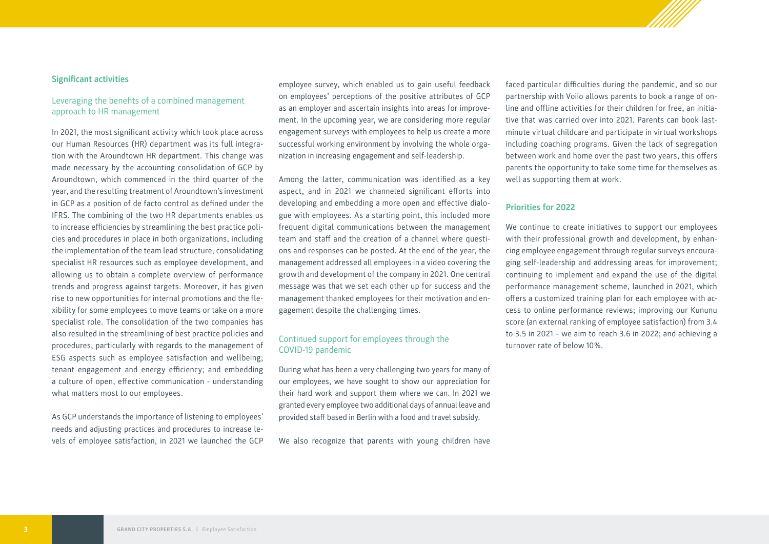### **Significant activities**

### Leveraging the benefits of a combined management approach to HR management

In 2021, the most significant activity which took place across our Human Resources (HR) department was its full integration with the Aroundtown HR department. This change was made necessary by the accounting consolidation of GCP by Aroundtown, which commenced in the third quarter of the year, and the resulting treatment of Aroundtown's investment in GCP as a position of de facto control as defined under the IFRS. The combining of the two HR departments enables us to increase efficiencies by streamlining the best practice policies and procedures in place in both organizations, including the implementation of the team lead structure, consolidating specialist HR resources such as employee development, and allowing us to obtain a complete overview of performance trends and progress against targets. Moreover, it has given rise to new opportunities for internal promotions and the flexibility for some employees to move teams or take on a more specialist role. The consolidation of the two companies has also resulted in the streamlining of best practice policies and procedures, particularly with regards to the management of ESG aspects such as employee satisfaction and wellbeing; tenant engagement and energy efficiency; and embedding a culture of open, effective communication - understanding what matters most to our employees.

As GCP understands the importance of listening to employees' needs and adjusting practices and procedures to increase levels of employee satisfaction, in 2021 we launched the GCP

employee survey, which enabled us to gain useful feedback on employees' perceptions of the positive attributes of GCP as an employer and ascertain insights into areas for improvement. In the upcoming year, we are considering more regular engagement surveys with employees to help us create a more successful working environment by involving the whole organization in increasing engagement and self-leadership.

Among the latter, communication was identified as a key aspect, and in 2021 we channeled significant efforts into developing and embedding a more open and effective dialogue with employees. As a starting point, this included more frequent digital communications between the management team and staff and the creation of a channel where questions and responses can be posted. At the end of the year, the management addressed all employees in a video covering the growth and development of the company in 2021. One central message was that we set each other up for success and the management thanked employees for their motivation and engagement despite the challenging times.

### Continued support for employees through the COVID-19 pandemic

During what has been a very challenging two years for many of our employees, we have sought to show our appreciation for their hard work and support them where we can. In 2021 we granted every employee two additional days of annual leave and provided staff based in Berlin with a food and travel subsidy.

We also recognize that parents with young children have

faced particular difficulties during the pandemic, and so our partnership with Voiio allows parents to book a range of online and offline activities for their children for free, an initiative that was carried over into 2021. Parents can book lastminute virtual childcare and participate in virtual workshops including coaching programs. Given the lack of segregation between work and home over the past two years, this offers parents the opportunity to take some time for themselves as well as supporting them at work.

### **Priorities for 2022**

We continue to create initiatives to support our employees with their professional growth and development, by enhancing employee engagement through regular surveys encouraging self-leadership and addressing areas for improvement; continuing to implement and expand the use of the digital performance management scheme, launched in 2021, which offers a customized training plan for each employee with access to online performance reviews; improving our Kununu score (an external ranking of employee satisfaction) from 3.4 to 3.5 in 2021 – we aim to reach 3.6 in 2022; and achieving a turnover rate of below 10%.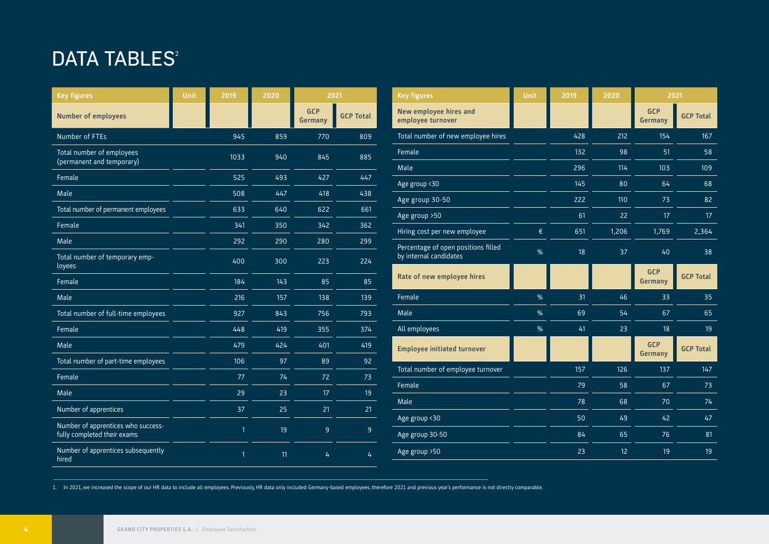## DATA TABLES<sup>2</sup>

| <b>Key figures</b>                                                | <b>Unit</b> | 2019         | 2020 | 2021                  |                  | <b>Key figures</b>                          | <b>Unit</b> | 2019     | 2020     | 2021                         |                  |
|-------------------------------------------------------------------|-------------|--------------|------|-----------------------|------------------|---------------------------------------------|-------------|----------|----------|------------------------------|------------------|
| <b>Number of employees</b>                                        |             |              |      | <b>GCP</b><br>Germany | <b>GCP Total</b> | New employee hires and<br>employee turnover |             |          |          | <b>GCP</b><br><b>Germany</b> | <b>GCP Total</b> |
| Number of FTEs                                                    |             | 945          | 859  | 770                   | 809              | Total number of new employee hires          |             | 428      | 212      | 154                          | 167              |
| Total number of employees<br>(permanent and temporary)            |             | 1033         | 940  | 845                   | 885              | Female                                      |             | 132      | 98       | 51                           | 58               |
| Female                                                            |             | 525          | 493  | 427                   | 447              | Male                                        |             | 296      | 114      | 103                          | 109              |
|                                                                   |             |              |      |                       |                  | Age group <30                               |             | 145      | 80       | 64                           | 68               |
| Male                                                              |             | 508          | 447  | 418                   | 438              | Age group 30-50                             |             | 222      | 110      | 73                           | 82               |
| Total number of permanent employees                               |             | 633          | 640  | 622                   | 661              | Age group >50                               |             | 61       | 22       | 17                           | 17 <sup>2</sup>  |
| Female                                                            |             | 341          | 350  | 342                   | 362              | €<br>Hiring cost per new employee           |             | 651      | 1,206    | 1,769                        | 2,364            |
| Male                                                              |             | 292          | 290  | 280                   | 299              | Percentage of open positions filled         |             |          |          |                              |                  |
| Total number of temporary emp-<br>loyees                          |             | 400          | 300  | 223                   | 224              | by internal candidates                      | %           | 18       | 37       | 40                           | 38               |
| Female                                                            |             | 184          | 143  | 85                    | 85               | Rate of new employee hires                  |             |          |          | <b>GCP</b><br><b>Germany</b> | <b>GCP Total</b> |
| Male                                                              |             | 216          | 157  | 138                   | 139              | Female<br>%                                 |             | 31       | 46       | 33                           | 35               |
| Total number of full-time employees                               |             | 927          | 843  | 756                   | 793              | Male                                        | %           | 69       | 54       | 67                           | 65               |
| Female                                                            |             | 448          | 419  | 355                   | 374              | All employees<br>$\%$                       |             | 41       | 23       | 18                           | 19               |
| Male                                                              |             | 479          | 424  | 401                   | 419              | <b>Employee initiated turnover</b>          |             |          |          | <b>GCP</b><br><b>Germany</b> | <b>GCP Total</b> |
| Total number of part-time employees                               |             | 106          | 97   | 89                    | 92               |                                             |             |          |          |                              |                  |
| Female                                                            |             | 77           | 74   | 72                    | 73               | Total number of employee turnover           |             | 157      | 126      | 137                          | 147              |
| Male                                                              |             | 29           | 23   | 17                    | 19               | Female                                      |             | 79       | 58       | 67                           | 73               |
| Number of apprentices                                             |             | 37           | 25   | 21                    | 21               | Male                                        |             | 78       | 68       | 70                           | 74               |
| Number of apprentices who success-<br>fully completed their exams |             | $\mathbf{1}$ | 19   | 9                     | 9                | Age group <30<br>Age group 30-50            |             | 50<br>84 | 49<br>65 | 42<br>76                     | 47<br>81         |
| Number of apprentices subsequently<br>hired                       |             | $\mathbf{1}$ | 11   | 4                     | $\overline{4}$   | Age group > 50                              |             | 23       | 12       | 19                           | 19               |

1. In 2021, we increased the scope of our HR data to include all employees. Previously, HR data only included Germany-based employees, therefore 2021 and previous year's performance is not directly comparable.